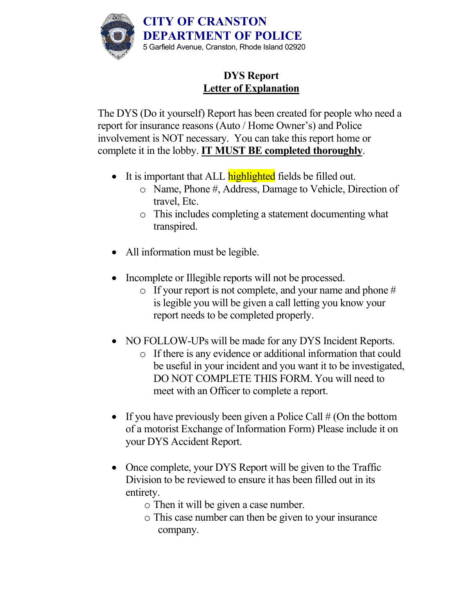

# **DYS Report Letter of Explanation**

The DYS (Do it yourself) Report has been created for people who need a report for insurance reasons (Auto / Home Owner's) and Police involvement is NOT necessary. You can take this report home or complete it in the lobby. **IT MUST BE completed thoroughly**.

- It is important that ALL **highlighted** fields be filled out.
	- o Name, Phone #, Address, Damage to Vehicle, Direction of travel, Etc.
	- o This includes completing a statement documenting what transpired.
- All information must be legible.
- Incomplete or Illegible reports will not be processed.
	- o If your report is not complete, and your name and phone # is legible you will be given a call letting you know your report needs to be completed properly.
- NO FOLLOW-UPs will be made for any DYS Incident Reports.
	- o If there is any evidence or additional information that could be useful in your incident and you want it to be investigated, DO NOT COMPLETE THIS FORM. You will need to meet with an Officer to complete a report.
- If you have previously been given a Police Call  $#$  (On the bottom of a motorist Exchange of Information Form) Please include it on your DYS Accident Report.
- Once complete, your DYS Report will be given to the Traffic Division to be reviewed to ensure it has been filled out in its entirety.
	- o Then it will be given a case number.
	- o This case number can then be given to your insurance company.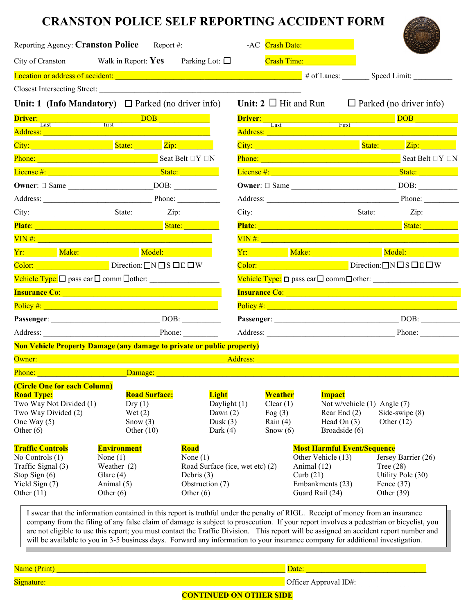|                                                                                                                                     | City of Cranston Walk in Report: Yes Parking Lot: $\square$                                                                                                                                                                               |                                                                                                                |  |                                                              | <b>Crash Time: Crash Time:</b>                                                                                                                                                                     |                             |                                                                                                                                                                                                                                         |  |
|-------------------------------------------------------------------------------------------------------------------------------------|-------------------------------------------------------------------------------------------------------------------------------------------------------------------------------------------------------------------------------------------|----------------------------------------------------------------------------------------------------------------|--|--------------------------------------------------------------|----------------------------------------------------------------------------------------------------------------------------------------------------------------------------------------------------|-----------------------------|-----------------------------------------------------------------------------------------------------------------------------------------------------------------------------------------------------------------------------------------|--|
|                                                                                                                                     |                                                                                                                                                                                                                                           |                                                                                                                |  |                                                              |                                                                                                                                                                                                    |                             |                                                                                                                                                                                                                                         |  |
|                                                                                                                                     | Closest Intersecting Street: New York 1989                                                                                                                                                                                                |                                                                                                                |  |                                                              |                                                                                                                                                                                                    |                             |                                                                                                                                                                                                                                         |  |
|                                                                                                                                     | Unit: 1 (Info Mandatory) $\Box$ Parked (no driver info)                                                                                                                                                                                   |                                                                                                                |  |                                                              | Unit: $2 \Box$ Hit and Run                                                                                                                                                                         |                             | $\Box$ Parked (no driver info)                                                                                                                                                                                                          |  |
|                                                                                                                                     |                                                                                                                                                                                                                                           |                                                                                                                |  |                                                              |                                                                                                                                                                                                    |                             | <b>Driver:</b> Last Eirst Eirst DOB <b>DOB</b>                                                                                                                                                                                          |  |
|                                                                                                                                     | Address: Address: Address: Address: Address: Address: Address: Address: Address: Address: Address: A                                                                                                                                      |                                                                                                                |  |                                                              | Address: Address:                                                                                                                                                                                  |                             |                                                                                                                                                                                                                                         |  |
|                                                                                                                                     | City: City: City: City: City: City: City: City: City: City: City: City: City: City: City: City: City: City: City: City: City: City: City: City: City: City: City: City: City: City: City: City: City: City: City: City: City:             |                                                                                                                |  |                                                              |                                                                                                                                                                                                    |                             |                                                                                                                                                                                                                                         |  |
|                                                                                                                                     | <b>Phone:</b> Seat Belt $\Box Y \Box N$                                                                                                                                                                                                   |                                                                                                                |  |                                                              |                                                                                                                                                                                                    |                             | City: <u>City: City: City: City: City: City: City: City: City: City: City: City: City: City: City: City: City: City<br/>Phone: City: City: City: City: City: City: City: City: City: City: City: City: City: City: City: City: City</u> |  |
|                                                                                                                                     |                                                                                                                                                                                                                                           |                                                                                                                |  |                                                              |                                                                                                                                                                                                    |                             |                                                                                                                                                                                                                                         |  |
|                                                                                                                                     | Owner: □ Same DOB:                                                                                                                                                                                                                        |                                                                                                                |  |                                                              |                                                                                                                                                                                                    |                             |                                                                                                                                                                                                                                         |  |
|                                                                                                                                     | Address: Phone:                                                                                                                                                                                                                           |                                                                                                                |  |                                                              |                                                                                                                                                                                                    |                             | Address: Phone: Phone:                                                                                                                                                                                                                  |  |
|                                                                                                                                     |                                                                                                                                                                                                                                           |                                                                                                                |  |                                                              |                                                                                                                                                                                                    |                             |                                                                                                                                                                                                                                         |  |
|                                                                                                                                     | Plate: State: State: State: State: State: State: State: State: State: State: State: State: State: State: State: State: State: State: State: State: State: State: State: State: State: State: State: State: State: State: State            |                                                                                                                |  |                                                              |                                                                                                                                                                                                    |                             | Plate: State: State: State: State: State: State: State: State: State: State: State: State: State: State: State: State: State: State: State: State: State: State: State: State: State: State: State: State: State: State: State          |  |
|                                                                                                                                     | VIN#: North Communication of the Communication of the Communication of the Communication of the Communication                                                                                                                             |                                                                                                                |  |                                                              |                                                                                                                                                                                                    |                             | <u>VIN #: New York: New York: New York: New York: New York: New York: New York: New York: New York: New York: New York: New York: New York: New York: New York: New York: New York: New York: New York: New York: New York: New </u>    |  |
|                                                                                                                                     | Vr: Make: Make: Model: Model:                                                                                                                                                                                                             |                                                                                                                |  |                                                              |                                                                                                                                                                                                    |                             | <u>Vr: Make: Make: Model:</u>                                                                                                                                                                                                           |  |
|                                                                                                                                     | Color: $\Box$ Direction: $\Box$ N $\Box$ S $\Box$ E $\Box$ W                                                                                                                                                                              |                                                                                                                |  |                                                              |                                                                                                                                                                                                    |                             | Color: $\Box$ Direction: $\Box$ N $\Box$ S $\Box$ E $\Box$ W                                                                                                                                                                            |  |
|                                                                                                                                     | Vehicle Type: □ pass car □ comm □ other:                                                                                                                                                                                                  |                                                                                                                |  |                                                              |                                                                                                                                                                                                    |                             |                                                                                                                                                                                                                                         |  |
|                                                                                                                                     | <b>Insurance Co: Example 2018 Contract Contract 2018</b>                                                                                                                                                                                  |                                                                                                                |  |                                                              |                                                                                                                                                                                                    |                             | <b>Insurance Co: Example 2018 Contract Contract 2018</b>                                                                                                                                                                                |  |
|                                                                                                                                     |                                                                                                                                                                                                                                           |                                                                                                                |  |                                                              | Policy #: <b>Policy #: Policy #: Policy #: Policy #: Policy #: Policy #: Policy #: Policy #: Policy #: Policy #: Policy #: Policy #: Policy #: Policy #: Policy #: Policy #: Policy #: Policy </b> |                             |                                                                                                                                                                                                                                         |  |
|                                                                                                                                     |                                                                                                                                                                                                                                           |                                                                                                                |  |                                                              |                                                                                                                                                                                                    |                             |                                                                                                                                                                                                                                         |  |
|                                                                                                                                     |                                                                                                                                                                                                                                           | Address: Phone:                                                                                                |  | Address: Phone:                                              |                                                                                                                                                                                                    |                             |                                                                                                                                                                                                                                         |  |
|                                                                                                                                     | <b>Non Vehicle Property Damage (any damage to private or public property)</b>                                                                                                                                                             |                                                                                                                |  |                                                              |                                                                                                                                                                                                    |                             |                                                                                                                                                                                                                                         |  |
|                                                                                                                                     | <b>Owner:</b> Address: <b>Contract Contract Contract Contract Contract Contract Contract Contract Contract Contract Contract Contract Contract Contract Contract Contract Contract Contract Contract Contract Contract Contract Contr</b> |                                                                                                                |  |                                                              |                                                                                                                                                                                                    |                             |                                                                                                                                                                                                                                         |  |
| Phone:                                                                                                                              | Damage:                                                                                                                                                                                                                                   |                                                                                                                |  |                                                              |                                                                                                                                                                                                    |                             |                                                                                                                                                                                                                                         |  |
| (Circle One for each Column)<br><b>Road Type:</b><br>Two Way Not Divided (1)<br>Two Way Divided (2)<br>One Way $(5)$<br>Other $(6)$ | <b>Road Surface:</b><br>Dry(1)<br>Wet $(2)$<br>Snow $(3)$<br>Other $(10)$                                                                                                                                                                 | <b>Light</b><br>Daylight (1)<br>Dawn $(2)$<br>Dusk $(3)$<br>Dark $(4)$                                         |  | Weather<br>Clear(1)<br>Fog $(3)$<br>Rain $(4)$<br>Snow $(6)$ | <b>Impact</b><br>Rear End (2)<br>Head On $(3)$<br>Broadside (6)                                                                                                                                    | Not w/vehicle (1) Angle (7) | Side-swipe (8)<br>Other $(12)$                                                                                                                                                                                                          |  |
| <b>Traffic Controls</b><br>No Controls (1)<br>Traffic Signal (3)<br>Stop Sign (6)<br>Yield Sign (7)<br>Other $(11)$                 | <b>Environment</b><br>None $(1)$<br>Weather $(2)$<br>Glare $(4)$<br>Animal (5)<br>Other $(6)$                                                                                                                                             | <b>Road</b><br>None $(1)$<br>Road Surface (ice, wet etc) (2)<br>Debris $(3)$<br>Obstruction (7)<br>Other $(6)$ |  |                                                              | <b>Most Harmful Event/Sequence</b><br>Other Vehicle (13)<br>Animal (12)<br>Curb $(21)$<br>Embankments (23)<br>Guard Rail (24)                                                                      |                             | Jersey Barrier (26)<br>Tree $(28)$<br>Utility Pole (30)<br>Fence $(37)$<br>Other $(39)$                                                                                                                                                 |  |

will be available to you in 3-5 business days. Forward any information to your insurance company for additional investigation.

Name (Print) \_\_\_\_\_\_\_\_\_\_\_\_\_\_\_\_\_\_\_\_\_\_\_\_\_\_\_\_\_\_\_\_\_\_\_\_\_\_\_\_\_\_\_\_\_\_\_\_\_\_\_\_\_\_\_\_\_\_\_ Date: \_\_\_\_\_\_\_\_\_\_\_\_\_\_\_\_\_\_\_\_\_\_\_\_\_\_\_\_\_\_\_ Signature:  $\frac{Signature:$ 

## **CONTINUED ON OTHER SIDE**